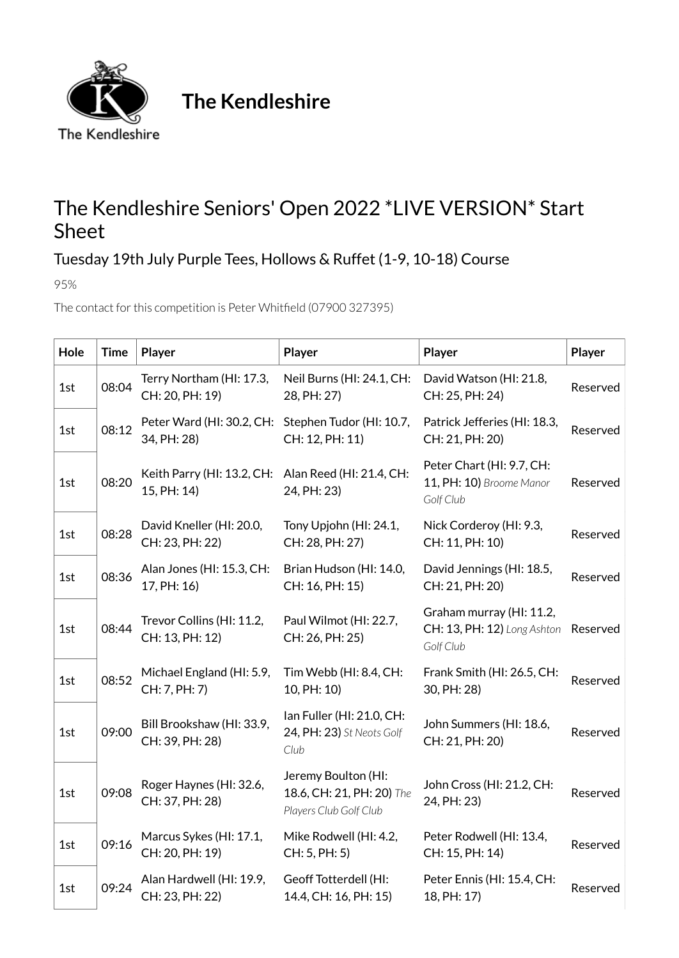

**The Kendleshire**

## The Kendleshire Seniors' Open 2022 \*LIVE VERSION\* Start Sheet

## Tuesday 19th July Purple Tees, Hollows & Ruffet (1-9, 10-18) Course

95%

The contact for this competition is [Peter Whit](mailto:whitfield50@virginmedia.com)field (07900 327395)

| Hole | <b>Time</b> | Player                                                             | Player                                                                     | Player                                                               | Player   |
|------|-------------|--------------------------------------------------------------------|----------------------------------------------------------------------------|----------------------------------------------------------------------|----------|
| 1st  | 08:04       | Terry Northam (HI: 17.3,<br>CH: 20, PH: 19)                        | Neil Burns (HI: 24.1, CH:<br>28, PH: 27)                                   | David Watson (HI: 21.8,<br>CH: 25, PH: 24)                           | Reserved |
| 1st  | 08:12       | Peter Ward (HI: 30.2, CH:<br>34, PH: 28)                           | Stephen Tudor (HI: 10.7,<br>CH: 12, PH: 11)                                | Patrick Jefferies (HI: 18.3,<br>CH: 21, PH: 20)                      | Reserved |
| 1st  | 08:20       | Keith Parry (HI: 13.2, CH: Alan Reed (HI: 21.4, CH:<br>15, PH: 14) | 24, PH: 23)                                                                | Peter Chart (HI: 9.7, CH:<br>11, PH: 10) Broome Manor<br>Golf Club   | Reserved |
| 1st  | 08:28       | David Kneller (HI: 20.0,<br>CH: 23, PH: 22)                        | Tony Upjohn (HI: 24.1,<br>CH: 28, PH: 27)                                  | Nick Corderoy (HI: 9.3,<br>CH: 11, PH: 10)                           | Reserved |
| 1st  | 08:36       | Alan Jones (HI: 15.3, CH:<br>17, PH: 16)                           | Brian Hudson (HI: 14.0,<br>CH: 16, PH: 15)                                 | David Jennings (HI: 18.5,<br>CH: 21, PH: 20)                         | Reserved |
| 1st  | 08:44       | Trevor Collins (HI: 11.2,<br>CH: 13, PH: 12)                       | Paul Wilmot (HI: 22.7,<br>CH: 26, PH: 25)                                  | Graham murray (HI: 11.2,<br>CH: 13, PH: 12) Long Ashton<br>Golf Club | Reserved |
| 1st  | 08:52       | Michael England (HI: 5.9,<br>CH: 7, PH: 7)                         | Tim Webb (HI: 8.4, CH:<br>10, PH: 10)                                      | Frank Smith (HI: 26.5, CH:<br>30, PH: 28)                            | Reserved |
| 1st  | 09:00       | Bill Brookshaw (HI: 33.9,<br>CH: 39, PH: 28)                       | Ian Fuller (HI: 21.0, CH:<br>24, PH: 23) St Neots Golf<br>Club             | John Summers (HI: 18.6,<br>CH: 21, PH: 20)                           | Reserved |
| 1st  | 09:08       | Roger Haynes (HI: 32.6,<br>CH: 37, PH: 28)                         | Jeremy Boulton (HI:<br>18.6, CH: 21, PH: 20) The<br>Players Club Golf Club | John Cross (HI: 21.2, CH:<br>24, PH: 23)                             | Reserved |
| 1st  | 09:16       | Marcus Sykes (HI: 17.1,<br>CH: 20, PH: 19)                         | Mike Rodwell (HI: 4.2,<br>CH: 5, PH: 5)                                    | Peter Rodwell (HI: 13.4,<br>CH: 15, PH: 14)                          | Reserved |
| 1st  | 09:24       | Alan Hardwell (HI: 19.9,<br>CH: 23, PH: 22)                        | Geoff Totterdell (HI:<br>14.4, CH: 16, PH: 15)                             | Peter Ennis (HI: 15.4, CH:<br>18, PH: 17)                            | Reserved |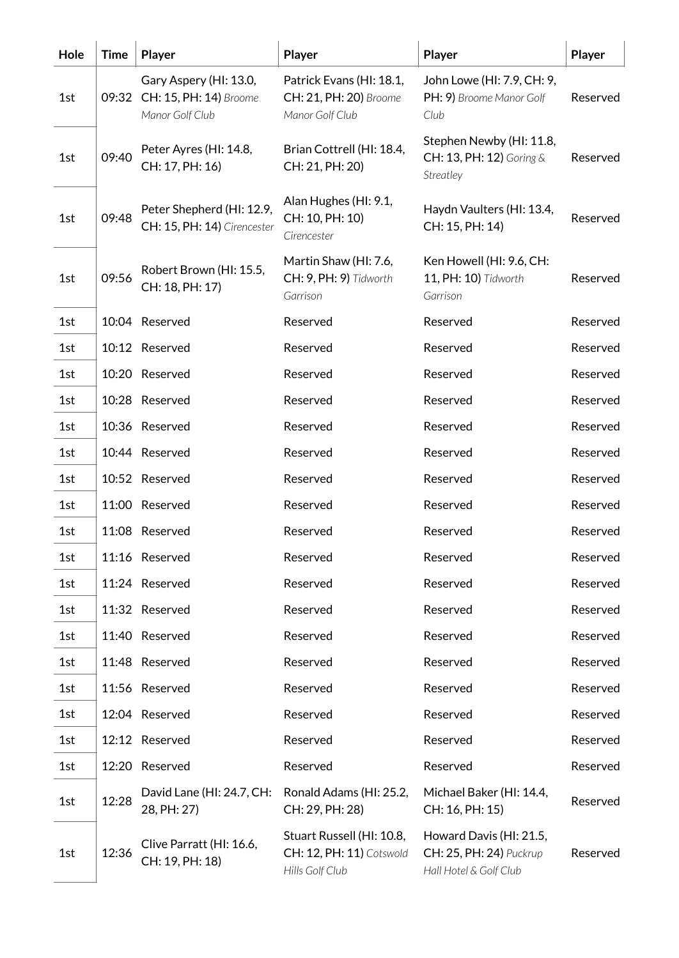| Hole | <b>Time</b> | <b>Player</b>                                                             | Player                                                                   | Player                                                                       | Player   |
|------|-------------|---------------------------------------------------------------------------|--------------------------------------------------------------------------|------------------------------------------------------------------------------|----------|
| 1st  |             | Gary Aspery (HI: 13.0,<br>09:32 CH: 15, PH: 14) Broome<br>Manor Golf Club | Patrick Evans (HI: 18.1,<br>CH: 21, PH: 20) Broome<br>Manor Golf Club    | John Lowe (HI: 7.9, CH: 9,<br>PH: 9) Broome Manor Golf<br>Club               | Reserved |
| 1st  | 09:40       | Peter Ayres (HI: 14.8,<br>CH: 17, PH: 16)                                 | Brian Cottrell (HI: 18.4,<br>CH: 21, PH: 20)                             | Stephen Newby (HI: 11.8,<br>CH: 13, PH: 12) Goring $&\&$<br>Streatley        | Reserved |
| 1st  | 09:48       | Peter Shepherd (HI: 12.9,<br>CH: 15, PH: 14) Cirencester                  | Alan Hughes (HI: 9.1,<br>CH: 10, PH: 10)<br>Cirencester                  | Haydn Vaulters (HI: 13.4,<br>CH: 15, PH: 14)                                 | Reserved |
| 1st  | 09:56       | Robert Brown (HI: 15.5,<br>CH: 18, PH: 17)                                | Martin Shaw (HI: 7.6,<br>CH: 9, PH: 9) Tidworth<br>Garrison              | Ken Howell (HI: 9.6, CH:<br>11, PH: 10) Tidworth<br>Garrison                 | Reserved |
| 1st  |             | 10:04 Reserved                                                            | Reserved                                                                 | Reserved                                                                     | Reserved |
| 1st  |             | 10:12 Reserved                                                            | Reserved                                                                 | Reserved                                                                     | Reserved |
| 1st  |             | 10:20 Reserved                                                            | Reserved                                                                 | Reserved                                                                     | Reserved |
| 1st  |             | 10:28 Reserved                                                            | Reserved                                                                 | Reserved                                                                     | Reserved |
| 1st  |             | 10:36 Reserved                                                            | Reserved                                                                 | Reserved                                                                     | Reserved |
| 1st  |             | 10:44 Reserved                                                            | Reserved                                                                 | Reserved                                                                     | Reserved |
| 1st  |             | 10:52 Reserved                                                            | Reserved                                                                 | Reserved                                                                     | Reserved |
| 1st  |             | 11:00 Reserved                                                            | Reserved                                                                 | Reserved                                                                     | Reserved |
| 1st  |             | 11:08 Reserved                                                            | Reserved                                                                 | Reserved                                                                     | Reserved |
| 1st  |             | 11:16 Reserved                                                            | Reserved                                                                 | Reserved                                                                     | Reserved |
| 1st  |             | 11:24 Reserved                                                            | Reserved                                                                 | Reserved                                                                     | Reserved |
| 1st  |             | 11:32 Reserved                                                            | Reserved                                                                 | Reserved                                                                     | Reserved |
| 1st  |             | 11:40 Reserved                                                            | Reserved                                                                 | Reserved                                                                     | Reserved |
| 1st  |             | 11:48 Reserved                                                            | Reserved                                                                 | Reserved                                                                     | Reserved |
| 1st  |             | 11:56 Reserved                                                            | Reserved                                                                 | Reserved                                                                     | Reserved |
| 1st  |             | 12:04 Reserved                                                            | Reserved                                                                 | Reserved                                                                     | Reserved |
| 1st  |             | 12:12 Reserved                                                            | Reserved                                                                 | Reserved                                                                     | Reserved |
| 1st  |             | 12:20 Reserved                                                            | Reserved                                                                 | Reserved                                                                     | Reserved |
| 1st  | 12:28       | David Lane (HI: 24.7, CH:<br>28, PH: 27)                                  | Ronald Adams (HI: 25.2,<br>CH: 29, PH: 28)                               | Michael Baker (HI: 14.4,<br>CH: 16, PH: 15)                                  | Reserved |
| 1st  | 12:36       | Clive Parratt (HI: 16.6,<br>CH: 19, PH: 18)                               | Stuart Russell (HI: 10.8,<br>CH: 12, PH: 11) Cotswold<br>Hills Golf Club | Howard Davis (HI: 21.5,<br>CH: 25, PH: 24) Puckrup<br>Hall Hotel & Golf Club | Reserved |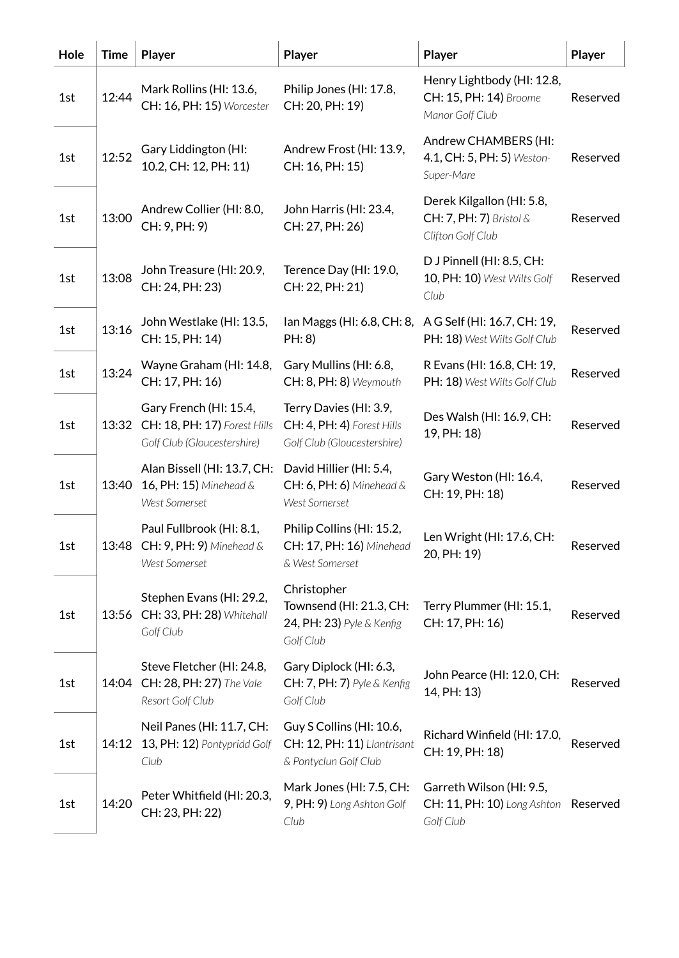| Hole | <b>Time</b> | Player                                                                                      | Player                                                                              | Player                                                                        | Player   |
|------|-------------|---------------------------------------------------------------------------------------------|-------------------------------------------------------------------------------------|-------------------------------------------------------------------------------|----------|
| 1st  | 12:44       | Mark Rollins (HI: 13.6,<br>CH: 16, PH: 15) Worcester                                        | Philip Jones (HI: 17.8,<br>CH: 20, PH: 19)                                          | Henry Lightbody (HI: 12.8,<br>CH: 15, PH: 14) Broome<br>Manor Golf Club       | Reserved |
| 1st  | 12:52       | Gary Liddington (HI:<br>10.2, CH: 12, PH: 11)                                               | Andrew Frost (HI: 13.9,<br>CH: 16, PH: 15)                                          | Andrew CHAMBERS (HI:<br>4.1, CH: 5, PH: 5) Weston-<br>Super-Mare              | Reserved |
| 1st  | 13:00       | Andrew Collier (HI: 8.0,<br>CH: 9, PH: 9)                                                   | John Harris (HI: 23.4,<br>CH: 27, PH: 26)                                           | Derek Kilgallon (HI: 5.8,<br>CH: 7, PH: 7) Bristol $\&$<br>Clifton Golf Club  | Reserved |
| 1st  | 13:08       | John Treasure (HI: 20.9,<br>CH: 24, PH: 23)                                                 | Terence Day (HI: 19.0,<br>CH: 22, PH: 21)                                           | D J Pinnell (HI: 8.5, CH:<br>10, PH: 10) West Wilts Golf<br>Club              | Reserved |
| 1st  | 13:16       | John Westlake (HI: 13.5,<br>CH: 15, PH: 14)                                                 | Ian Maggs (HI: 6.8, CH: 8,<br>PH: 8)                                                | A G Self (HI: 16.7, CH: 19,<br>PH: 18) West Wilts Golf Club                   | Reserved |
| 1st  | 13:24       | Wayne Graham (HI: 14.8,<br>CH: 17, PH: 16)                                                  | Gary Mullins (HI: 6.8,<br>CH: 8, PH: 8) Weymouth                                    | R Evans (HI: 16.8, CH: 19,<br>PH: 18) West Wilts Golf Club                    | Reserved |
| 1st  |             | Gary French (HI: 15.4,<br>13:32 CH: 18, PH: 17) Forest Hills<br>Golf Club (Gloucestershire) | Terry Davies (HI: 3.9,<br>CH: 4, PH: 4) Forest Hills<br>Golf Club (Gloucestershire) | Des Walsh (HI: 16.9, CH:<br>19, PH: 18)                                       | Reserved |
| 1st  | 13:40       | Alan Bissell (HI: 13.7, CH:<br>16, PH: 15) Minehead $&$<br>West Somerset                    | David Hillier (HI: 5.4,<br>$CH: 6, PH: 6)$ Minehead &<br>West Somerset              | Gary Weston (HI: 16.4,<br>CH: 19, PH: 18)                                     | Reserved |
| 1st  | 13:48       | Paul Fullbrook (HI: 8.1,<br>$CH: 9, PH: 9)$ Minehead &<br>West Somerset                     | Philip Collins (HI: 15.2,<br>CH: 17, PH: 16) Minehead<br>& West Somerset            | Len Wright (HI: 17.6, CH:<br>20, PH: 19)                                      | Reserved |
| 1st  |             | Stephen Evans (HI: 29.2,<br>13:56 CH: 33, PH: 28) Whitehall<br>Golf Club                    | Christopher<br>Townsend (HI: 21.3, CH:<br>24, PH: 23) Pyle & Kenfig<br>Golf Club    | Terry Plummer (HI: 15.1,<br>CH: 17, PH: 16)                                   | Reserved |
| 1st  |             | Steve Fletcher (HI: 24.8,<br>14:04 CH: 28, PH: 27) The Vale<br>Resort Golf Club             | Gary Diplock (HI: 6.3,<br>$CH: 7, PH: 7)$ Pyle & Kenfig<br>Golf Club                | John Pearce (HI: 12.0, CH:<br>14, PH: 13)                                     | Reserved |
| 1st  | 14:12       | Neil Panes (HI: 11.7, CH:<br>13, PH: 12) Pontypridd Golf<br>Club                            | Guy S Collins (HI: 10.6,<br>CH: 12, PH: 11) Llantrisant<br>& Pontyclun Golf Club    | Richard Winfield (HI: 17.0,<br>CH: 19, PH: 18)                                | Reserved |
| 1st  | 14:20       | Peter Whitfield (HI: 20.3,<br>CH: 23, PH: 22)                                               | Mark Jones (HI: 7.5, CH:<br>9, PH: 9) Long Ashton Golf<br>Club                      | Garreth Wilson (HI: 9.5,<br>CH: 11, PH: 10) Long Ashton Reserved<br>Golf Club |          |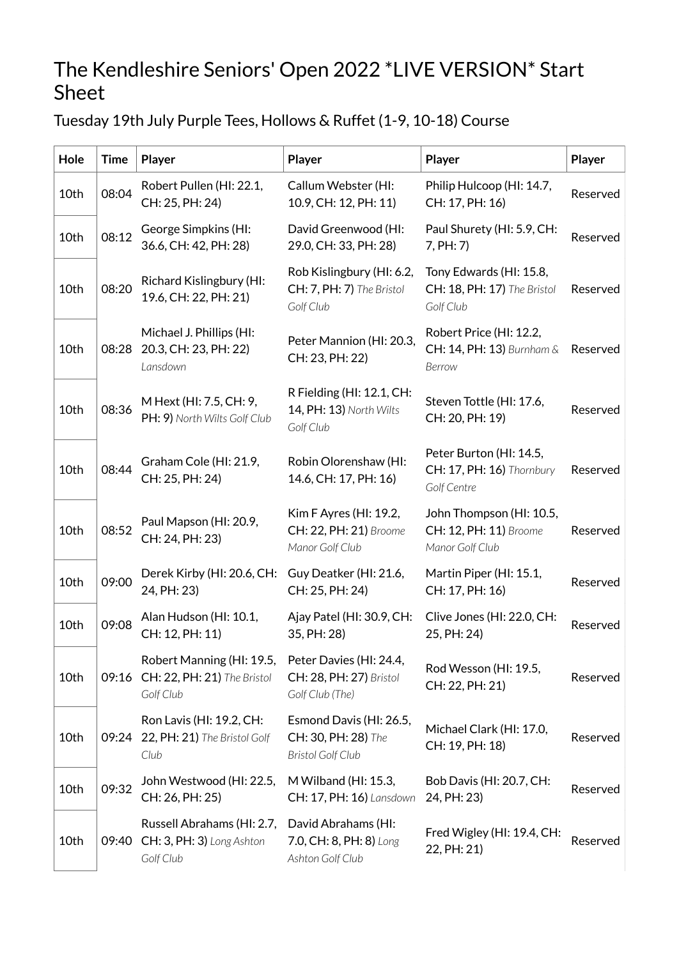## The Kendleshire Seniors' Open 2022 \*LIVE VERSION\* Start Sheet

Tuesday 19th July Purple Tees, Hollows & Ruffet (1-9, 10-18) Course

| Hole | <b>Time</b> | Player                                                                | Player                                                                     | Player                                                                   | Player   |
|------|-------------|-----------------------------------------------------------------------|----------------------------------------------------------------------------|--------------------------------------------------------------------------|----------|
| 10th | 08:04       | Robert Pullen (HI: 22.1,<br>CH: 25, PH: 24)                           | Callum Webster (HI:<br>10.9, CH: 12, PH: 11)                               | Philip Hulcoop (HI: 14.7,<br>CH: 17, PH: 16)                             | Reserved |
| 10th | 08:12       | George Simpkins (HI:<br>36.6, CH: 42, PH: 28)                         | David Greenwood (HI:<br>29.0, CH: 33, PH: 28)                              | Paul Shurety (HI: 5.9, CH:<br>7, PH: 7)                                  | Reserved |
| 10th | 08:20       | Richard Kislingbury (HI:<br>19.6, CH: 22, PH: 21)                     | Rob Kislingbury (HI: 6.2,<br>CH: 7, PH: 7) The Bristol<br>Golf Club        | Tony Edwards (HI: 15.8,<br>CH: 18, PH: 17) The Bristol<br>Golf Club      | Reserved |
| 10th | 08:28       | Michael J. Phillips (HI:<br>20.3, CH: 23, PH: 22)<br>Lansdown         | Peter Mannion (HI: 20.3,<br>CH: 23, PH: 22)                                | Robert Price (HI: 12.2,<br>CH: 14, PH: 13) Burnham $\&$<br><b>Berrow</b> | Reserved |
| 10th | 08:36       | M Hext (HI: 7.5, CH: 9,<br>PH: 9) North Wilts Golf Club               | R Fielding (HI: 12.1, CH:<br>14, PH: 13) North Wilts<br>Golf Club          | Steven Tottle (HI: 17.6,<br>CH: 20, PH: 19)                              | Reserved |
| 10th | 08:44       | Graham Cole (HI: 21.9,<br>CH: 25, PH: 24)                             | Robin Olorenshaw (HI:<br>14.6, CH: 17, PH: 16)                             | Peter Burton (HI: 14.5,<br>CH: 17, PH: 16) Thornbury<br>Golf Centre      | Reserved |
| 10th | 08:52       | Paul Mapson (HI: 20.9,<br>CH: 24, PH: 23)                             | Kim F Ayres (HI: 19.2,<br>CH: 22, PH: 21) Broome<br>Manor Golf Club        | John Thompson (HI: 10.5,<br>CH: 12, PH: 11) Broome<br>Manor Golf Club    | Reserved |
| 10th | 09:00       | Derek Kirby (HI: 20.6, CH:<br>24, PH: 23)                             | Guy Deatker (HI: 21.6,<br>CH: 25, PH: 24)                                  | Martin Piper (HI: 15.1,<br>CH: 17, PH: 16)                               | Reserved |
| 10th | 09:08       | Alan Hudson (HI: 10.1,<br>CH: 12, PH: 11)                             | Ajay Patel (HI: 30.9, CH:<br>35, PH: 28)                                   | Clive Jones (HI: 22.0, CH:<br>25, PH: 24)                                | Reserved |
| 10th | 09:16       | Robert Manning (HI: 19.5,<br>CH: 22, PH: 21) The Bristol<br>Golf Club | Peter Davies (HI: 24.4,<br>CH: 28, PH: 27) Bristol<br>Golf Club (The)      | Rod Wesson (HI: 19.5,<br>CH: 22, PH: 21)                                 | Reserved |
| 10th | 09:24       | Ron Lavis (HI: 19.2, CH:<br>22, PH: 21) The Bristol Golf<br>Club      | Esmond Davis (HI: 26.5,<br>CH: 30, PH: 28) The<br><b>Bristol Golf Club</b> | Michael Clark (HI: 17.0,<br>CH: 19, PH: 18)                              | Reserved |
| 10th | 09:32       | John Westwood (HI: 22.5,<br>CH: 26, PH: 25)                           | M Wilband (HI: 15.3,<br>CH: 17, PH: 16) Lansdown                           | Bob Davis (HI: 20.7, CH:<br>24, PH: 23)                                  | Reserved |
| 10th | 09:40       | Russell Abrahams (HI: 2.7,<br>CH: 3, PH: 3) Long Ashton<br>Golf Club  | David Abrahams (HI:<br>7.0, CH: 8, PH: 8) Long<br>Ashton Golf Club         | Fred Wigley (HI: 19.4, CH:<br>22, PH: 21)                                | Reserved |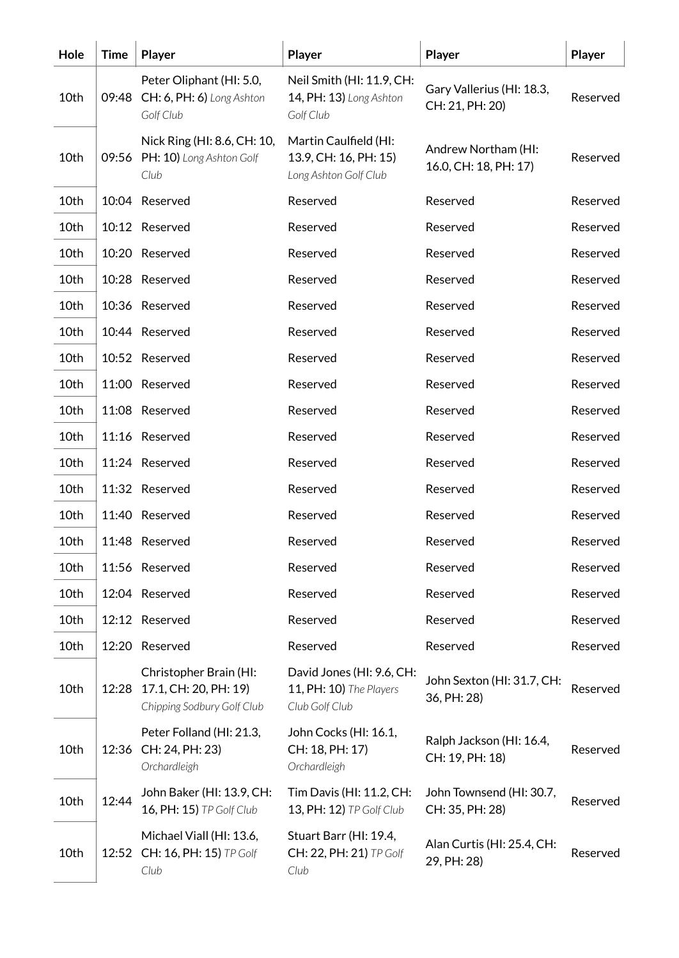| Hole | <b>Time</b> | Player                                                                        | Player                                                                  | Player                                       | Player   |
|------|-------------|-------------------------------------------------------------------------------|-------------------------------------------------------------------------|----------------------------------------------|----------|
| 10th | 09:48       | Peter Oliphant (HI: 5.0,<br>CH: 6, PH: 6) Long Ashton<br>Golf Club            | Neil Smith (HI: 11.9, CH:<br>14, PH: 13) Long Ashton<br>Golf Club       | Gary Vallerius (HI: 18.3,<br>CH: 21, PH: 20) | Reserved |
| 10th | 09:56       | Nick Ring (HI: 8.6, CH: 10,<br>PH: 10) Long Ashton Golf<br>Club               | Martin Caulfield (HI:<br>13.9, CH: 16, PH: 15)<br>Long Ashton Golf Club | Andrew Northam (HI:<br>16.0, CH: 18, PH: 17) | Reserved |
| 10th |             | 10:04 Reserved                                                                | Reserved                                                                | Reserved                                     | Reserved |
| 10th |             | 10:12 Reserved                                                                | Reserved                                                                | Reserved                                     | Reserved |
| 10th |             | 10:20 Reserved                                                                | Reserved                                                                | Reserved                                     | Reserved |
| 10th |             | 10:28 Reserved                                                                | Reserved                                                                | Reserved                                     | Reserved |
| 10th |             | 10:36 Reserved                                                                | Reserved                                                                | Reserved                                     | Reserved |
| 10th |             | 10:44 Reserved                                                                | Reserved                                                                | Reserved                                     | Reserved |
| 10th |             | 10:52 Reserved                                                                | Reserved                                                                | Reserved                                     | Reserved |
| 10th |             | 11:00 Reserved                                                                | Reserved                                                                | Reserved                                     | Reserved |
| 10th |             | 11:08 Reserved                                                                | Reserved                                                                | Reserved                                     | Reserved |
| 10th |             | 11:16 Reserved                                                                | Reserved                                                                | Reserved                                     | Reserved |
| 10th |             | 11:24 Reserved                                                                | Reserved                                                                | Reserved                                     | Reserved |
| 10th |             | 11:32 Reserved                                                                | Reserved                                                                | Reserved                                     | Reserved |
| 10th |             | 11:40 Reserved                                                                | Reserved                                                                | Reserved                                     | Reserved |
| 10th |             | 11:48 Reserved                                                                | Reserved                                                                | Reserved                                     | Reserved |
| 10th |             | 11:56 Reserved                                                                | Reserved                                                                | Reserved                                     | Reserved |
| 10th |             | 12:04 Reserved                                                                | Reserved                                                                | Reserved                                     | Reserved |
| 10th |             | 12:12 Reserved                                                                | Reserved                                                                | Reserved                                     | Reserved |
| 10th |             | 12:20 Reserved                                                                | Reserved                                                                | Reserved                                     | Reserved |
| 10th | 12:28       | Christopher Brain (HI:<br>17.1, CH: 20, PH: 19)<br>Chipping Sodbury Golf Club | David Jones (HI: 9.6, CH:<br>11, PH: 10) The Players<br>Club Golf Club  | John Sexton (HI: 31.7, CH:<br>36, PH: 28)    | Reserved |
| 10th | 12:36       | Peter Folland (HI: 21.3,<br>CH: 24, PH: 23)<br>Orchardleigh                   | John Cocks (HI: 16.1,<br>CH: 18, PH: 17)<br>Orchardleigh                | Ralph Jackson (HI: 16.4,<br>CH: 19, PH: 18)  | Reserved |
| 10th | 12:44       | John Baker (HI: 13.9, CH:<br>16, PH: 15) TP Golf Club                         | Tim Davis (HI: 11.2, CH:<br>13, PH: 12) TP Golf Club                    | John Townsend (HI: 30.7,<br>CH: 35, PH: 28)  | Reserved |
| 10th | 12:52       | Michael Viall (HI: 13.6,<br>CH: 16, PH: 15) TP Golf<br>Club                   | Stuart Barr (HI: 19.4,<br>CH: 22, PH: 21) TP Golf<br>Club               | Alan Curtis (HI: 25.4, CH:<br>29, PH: 28)    | Reserved |